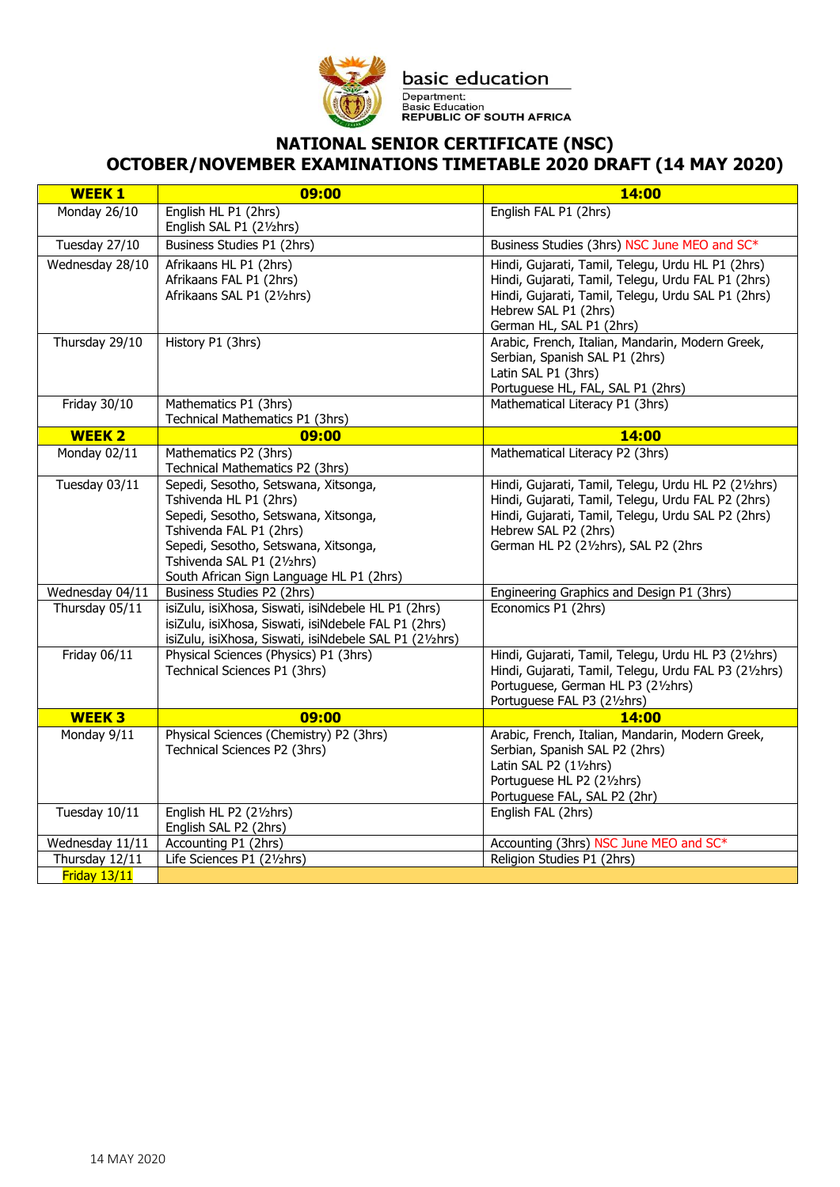

basic education Department:<br>Basic Education<br>REPUBLIC OF SOUTH AFRICA

## **NATIONAL SENIOR CERTIFICATE (NSC) OCTOBER/NOVEMBER EXAMINATIONS TIMETABLE 2020 DRAFT (14 MAY 2020)**

| <b>WEEK1</b>                      | 09:00                                                                 | 14:00                                                                                                    |
|-----------------------------------|-----------------------------------------------------------------------|----------------------------------------------------------------------------------------------------------|
| Monday 26/10                      | English HL P1 (2hrs)                                                  | English FAL P1 (2hrs)                                                                                    |
|                                   | English SAL P1 (21/2hrs)                                              |                                                                                                          |
| Tuesday 27/10                     | Business Studies P1 (2hrs)                                            | Business Studies (3hrs) NSC June MEO and SC*                                                             |
| Wednesday 28/10                   | Afrikaans HL P1 (2hrs)                                                | Hindi, Gujarati, Tamil, Telegu, Urdu HL P1 (2hrs)                                                        |
|                                   | Afrikaans FAL P1 (2hrs)                                               | Hindi, Gujarati, Tamil, Telegu, Urdu FAL P1 (2hrs)                                                       |
|                                   | Afrikaans SAL P1 (21/2hrs)                                            | Hindi, Gujarati, Tamil, Telegu, Urdu SAL P1 (2hrs)                                                       |
|                                   |                                                                       | Hebrew SAL P1 (2hrs)                                                                                     |
| Thursday 29/10                    | History P1 (3hrs)                                                     | German HL, SAL P1 (2hrs)<br>Arabic, French, Italian, Mandarin, Modern Greek,                             |
|                                   |                                                                       | Serbian, Spanish SAL P1 (2hrs)                                                                           |
|                                   |                                                                       | Latin SAL P1 (3hrs)                                                                                      |
|                                   |                                                                       | Portuguese HL, FAL, SAL P1 (2hrs)                                                                        |
| Friday 30/10                      | Mathematics P1 (3hrs)                                                 | Mathematical Literacy P1 (3hrs)                                                                          |
|                                   | Technical Mathematics P1 (3hrs)                                       |                                                                                                          |
| <b>WEEK 2</b>                     | 09:00                                                                 | 14:00                                                                                                    |
| Monday 02/11                      | Mathematics P2 (3hrs)                                                 | Mathematical Literacy P2 (3hrs)                                                                          |
|                                   | Technical Mathematics P2 (3hrs)                                       |                                                                                                          |
| Tuesday 03/11                     | Sepedi, Sesotho, Setswana, Xitsonga,                                  | Hindi, Gujarati, Tamil, Telegu, Urdu HL P2 (21/2hrs)                                                     |
|                                   | Tshivenda HL P1 (2hrs)<br>Sepedi, Sesotho, Setswana, Xitsonga,        | Hindi, Gujarati, Tamil, Telegu, Urdu FAL P2 (2hrs)<br>Hindi, Gujarati, Tamil, Telegu, Urdu SAL P2 (2hrs) |
|                                   | Tshivenda FAL P1 (2hrs)                                               | Hebrew SAL P2 (2hrs)                                                                                     |
|                                   | Sepedi, Sesotho, Setswana, Xitsonga,                                  | German HL P2 (21/2hrs), SAL P2 (2hrs                                                                     |
|                                   | Tshivenda SAL P1 (21/2hrs)                                            |                                                                                                          |
|                                   | South African Sign Language HL P1 (2hrs)                              |                                                                                                          |
| Wednesday 04/11                   | Business Studies P2 (2hrs)                                            | Engineering Graphics and Design P1 (3hrs)                                                                |
| Thursday 05/11                    | isiZulu, isiXhosa, Siswati, isiNdebele HL P1 (2hrs)                   | Economics P1 (2hrs)                                                                                      |
|                                   | isiZulu, isiXhosa, Siswati, isiNdebele FAL P1 (2hrs)                  |                                                                                                          |
|                                   | isiZulu, isiXhosa, Siswati, isiNdebele SAL P1 (21/2hrs)               |                                                                                                          |
| Friday 06/11                      | Physical Sciences (Physics) P1 (3hrs)<br>Technical Sciences P1 (3hrs) | Hindi, Gujarati, Tamil, Telegu, Urdu HL P3 (21/2hrs)                                                     |
|                                   |                                                                       | Hindi, Gujarati, Tamil, Telegu, Urdu FAL P3 (21/2hrs)<br>Portuguese, German HL P3 (21/2hrs)              |
|                                   |                                                                       | Portuguese FAL P3 (21/2hrs)                                                                              |
| <b>WEEK3</b>                      | 09:00                                                                 | <b>14:00</b>                                                                                             |
| Monday 9/11                       | Physical Sciences (Chemistry) P2 (3hrs)                               | Arabic, French, Italian, Mandarin, Modern Greek,                                                         |
|                                   | Technical Sciences P2 (3hrs)                                          | Serbian, Spanish SAL P2 (2hrs)                                                                           |
|                                   |                                                                       | Latin SAL P2 (11/2hrs)                                                                                   |
|                                   |                                                                       | Portuguese HL P2 (21/2hrs)                                                                               |
|                                   |                                                                       | Portuguese FAL, SAL P2 (2hr)                                                                             |
| Tuesday 10/11                     | English HL P2 (21/2hrs)                                               | English FAL (2hrs)                                                                                       |
|                                   | English SAL P2 (2hrs)                                                 | Accounting (3hrs) NSC June MEO and SC*                                                                   |
| Wednesday 11/11<br>Thursday 12/11 | Accounting P1 (2hrs)                                                  |                                                                                                          |
|                                   | Life Sciences P1 (21/2hrs)                                            | Religion Studies P1 (2hrs)                                                                               |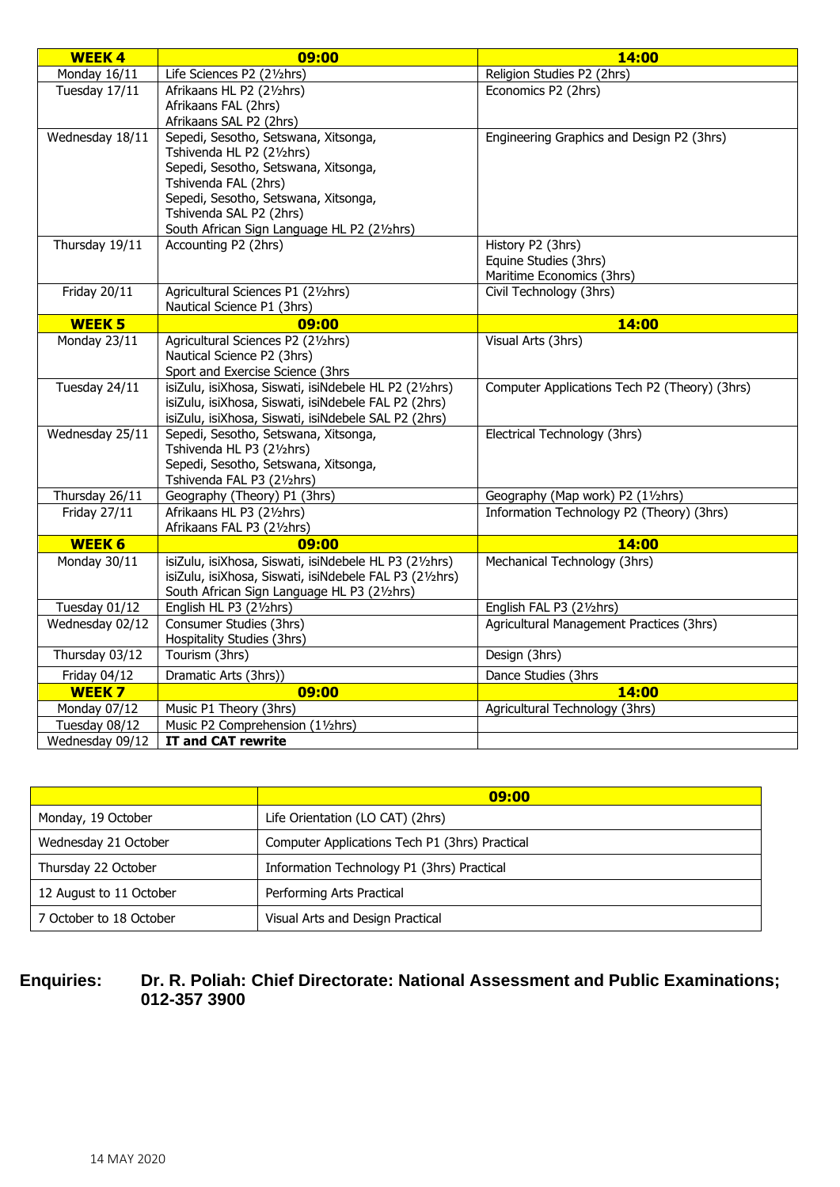| <b>WEEK4</b>                | 09:00                                                             | 14:00                                         |
|-----------------------------|-------------------------------------------------------------------|-----------------------------------------------|
| Monday 16/11                | Life Sciences P2 (21/2hrs)                                        | Religion Studies P2 (2hrs)                    |
| Tuesday 17/11               | Afrikaans HL P2 (21/2hrs)                                         | Economics P2 (2hrs)                           |
|                             | Afrikaans FAL (2hrs)                                              |                                               |
|                             | Afrikaans SAL P2 (2hrs)                                           |                                               |
| Wednesday 18/11             | Sepedi, Sesotho, Setswana, Xitsonga,                              | Engineering Graphics and Design P2 (3hrs)     |
|                             | Tshivenda HL P2 (21/2hrs)                                         |                                               |
|                             | Sepedi, Sesotho, Setswana, Xitsonga,<br>Tshivenda FAL (2hrs)      |                                               |
|                             | Sepedi, Sesotho, Setswana, Xitsonga,                              |                                               |
|                             | Tshivenda SAL P2 (2hrs)                                           |                                               |
|                             | South African Sign Language HL P2 (21/2hrs)                       |                                               |
| Thursday 19/11              | Accounting P2 (2hrs)                                              | History P2 (3hrs)                             |
|                             |                                                                   | Equine Studies (3hrs)                         |
|                             |                                                                   | Maritime Economics (3hrs)                     |
| <b>Friday 20/11</b>         | Agricultural Sciences P1 (21/2hrs)                                | Civil Technology (3hrs)                       |
|                             | Nautical Science P1 (3hrs)                                        |                                               |
| <b>WEEK 5</b>               | 09:00                                                             | 14:00                                         |
| Monday 23/11                | Agricultural Sciences P2 (21/2hrs)                                | Visual Arts (3hrs)                            |
|                             | Nautical Science P2 (3hrs)                                        |                                               |
|                             | Sport and Exercise Science (3hrs                                  |                                               |
| Tuesday 24/11               | isiZulu, isiXhosa, Siswati, isiNdebele HL P2 (21/2hrs)            | Computer Applications Tech P2 (Theory) (3hrs) |
|                             | isiZulu, isiXhosa, Siswati, isiNdebele FAL P2 (2hrs)              |                                               |
|                             | isiZulu, isiXhosa, Siswati, isiNdebele SAL P2 (2hrs)              |                                               |
| Wednesday 25/11             | Sepedi, Sesotho, Setswana, Xitsonga,                              | Electrical Technology (3hrs)                  |
|                             | Tshivenda HL P3 (21/2hrs)<br>Sepedi, Sesotho, Setswana, Xitsonga, |                                               |
|                             | Tshivenda FAL P3 (21/2hrs)                                        |                                               |
| Thursday 26/11              | Geography (Theory) P1 (3hrs)                                      | Geography (Map work) P2 (11/2hrs)             |
| <b>Friday 27/11</b>         | Afrikaans HL P3 (21/2hrs)                                         | Information Technology P2 (Theory) (3hrs)     |
|                             | Afrikaans FAL P3 (21/2hrs)                                        |                                               |
| <b>WEEK 6</b>               | 09:00                                                             | 14:00                                         |
| Monday 30/11                | isiZulu, isiXhosa, Siswati, isiNdebele HL P3 (21/2hrs)            | Mechanical Technology (3hrs)                  |
|                             | isiZulu, isiXhosa, Siswati, isiNdebele FAL P3 (21/2hrs)           |                                               |
|                             | South African Sign Language HL P3 (21/2hrs)                       |                                               |
| Tuesday 01/12               | English HL P3 (21/2hrs)                                           | English FAL P3 (21/2hrs)                      |
| Wednesday 02/12             | Consumer Studies (3hrs)                                           | Agricultural Management Practices (3hrs)      |
|                             | Hospitality Studies (3hrs)                                        |                                               |
| Thursday $03/\overline{12}$ | Tourism (3hrs)                                                    | Design (3hrs)                                 |
| Friday 04/12                | Dramatic Arts (3hrs))                                             | Dance Studies (3hrs                           |
| WEEK 7                      | 09:00                                                             | 14:00                                         |
| Monday 07/12                | Music P1 Theory (3hrs)                                            | Agricultural Technology (3hrs)                |
| Tuesday 08/12               | Music P2 Comprehension (11/2hrs)                                  |                                               |
| Wednesday 09/12             | IT and CAT rewrite                                                |                                               |

|                         | 09:00                                          |
|-------------------------|------------------------------------------------|
| Monday, 19 October      | Life Orientation (LO CAT) (2hrs)               |
| Wednesday 21 October    | Computer Applications Tech P1 (3hrs) Practical |
| Thursday 22 October     | Information Technology P1 (3hrs) Practical     |
| 12 August to 11 October | Performing Arts Practical                      |
| 7 October to 18 October | Visual Arts and Design Practical               |

## **Enquiries: Dr. R. Poliah: Chief Directorate: National Assessment and Public Examinations; 012-357 3900**